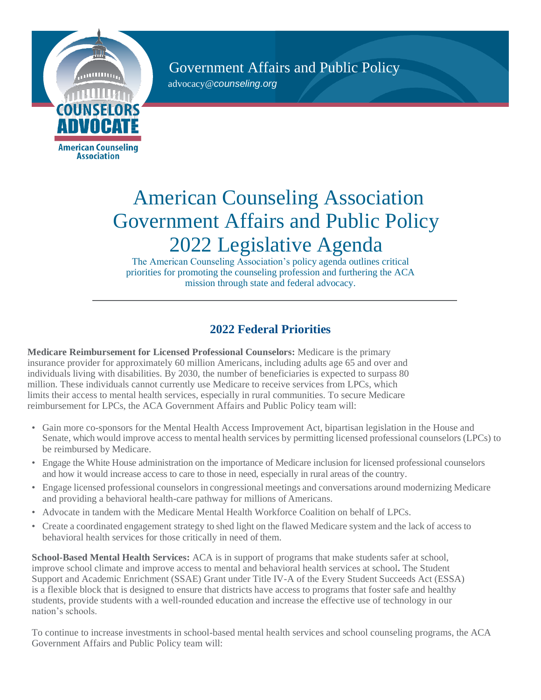Government Affairs and Public Policy [advocacy@](mailto:advocacy@counseling.org)*[counseling.org](mailto:advocacy@counseling.org)*



## American Counseling Association Government Affairs and Public Policy 2022 Legislative Agenda

The American Counseling Association's policy agenda outlines critical priorities for promoting the counseling profession and furthering the ACA mission through state and federal advocacy.

## **2022 Federal Priorities**

**Medicare Reimbursement for Licensed Professional Counselors:** Medicare is the primary insurance provider for approximately 60 million Americans, including adults age 65 and over and individuals living with disabilities. By 2030, the number of beneficiaries is expected to surpass 80 million. These individuals cannot currently use Medicare to receive services from LPCs, which limits their access to mental health services, especially in rural communities. To secure Medicare reimbursement for LPCs, the ACA Government Affairs and Public Policy team will:

- Gain more co-sponsors for the Mental Health Access Improvement Act, bipartisan legislation in the House and Senate, which would improve access to mental health services by permitting licensed professional counselors (LPCs) to be reimbursed by Medicare.
- Engage the White House administration on the importance of Medicare inclusion for licensed professional counselors and how it would increase access to care to those in need, especially in rural areas of the country.
- Engage licensed professional counselors in congressional meetings and conversations around modernizing Medicare and providing a behavioral health-care pathway for millions of Americans.
- Advocate in tandem with the Medicare Mental Health Workforce Coalition on behalf of LPCs.
- Create a coordinated engagement strategy to shed light on the flawed Medicare system and the lack of access to behavioral health services for those critically in need of them.

**School-Based Mental Health Services:** ACA is in support of programs that make students safer at school, improve school climate and improve access to mental and behavioral health services at school**.** The Student Support and Academic Enrichment (SSAE) Grant under Title IV-A of the Every Student Succeeds Act (ESSA) is a flexible block that is designed to ensure that districts have access to programs that foster safe and healthy students, provide students with a well-rounded education and increase the effective use of technology in our nation's schools.

To continue to increase investments in school-based mental health services and school counseling programs, the ACA Government Affairs and Public Policy team will: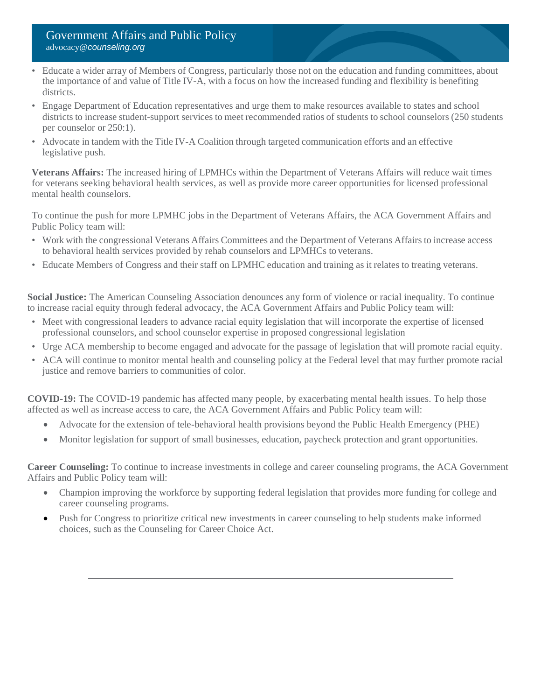- Educate a wider array of Members of Congress, particularly those not on the education and funding committees, about the importance of and value of Title IV-A, with a focus on how the increased funding and flexibility is benefiting districts.
- Engage Department of Education representatives and urge them to make resources available to states and school districts to increase student-support services to meet recommended ratios of students to school counselors (250 students per counselor or 250:1).
- Advocate in tandem with the Title IV-A Coalition through targeted communication efforts and an effective legislative push.

**Veterans Affairs:** The increased hiring of LPMHCs within the Department of Veterans Affairs will reduce wait times for veterans seeking behavioral health services, as well as provide more career opportunities for licensed professional mental health counselors.

To continue the push for more LPMHC jobs in the Department of Veterans Affairs, the ACA Government Affairs and Public Policy team will:

- Work with the congressional Veterans Affairs Committees and the Department of Veterans Affairs to increase access to behavioral health services provided by rehab counselors and LPMHCs to veterans.
- Educate Members of Congress and their staff on LPMHC education and training as it relates to treating veterans.

**Social Justice:** The American Counseling Association denounces any form of violence or racial inequality. To continue to increase racial equity through federal advocacy, the ACA Government Affairs and Public Policy team will:

- Meet with congressional leaders to advance racial equity legislation that will incorporate the expertise of licensed professional counselors, and school counselor expertise in proposed congressional legislation
- Urge ACA membership to become engaged and advocate for the passage of legislation that will promote racial equity.
- ACA will continue to monitor mental health and counseling policy at the Federal level that may further promote racial justice and remove barriers to communities of color.

**COVID-19:** The COVID-19 pandemic has affected many people, by exacerbating mental health issues. To help those affected as well as increase access to care, the ACA Government Affairs and Public Policy team will:

- Advocate for the extension of tele-behavioral health provisions beyond the Public Health Emergency (PHE)
- Monitor legislation for support of small businesses, education, paycheck protection and grant opportunities.

**Career Counseling:** To continue to increase investments in college and career counseling programs, the ACA Government Affairs and Public Policy team will:

- Champion improving the workforce by supporting federal legislation that provides more funding for college and career counseling programs.
- Push for Congress to prioritize critical new investments in career counseling to help students make informed choices, such as the Counseling for Career Choice Act.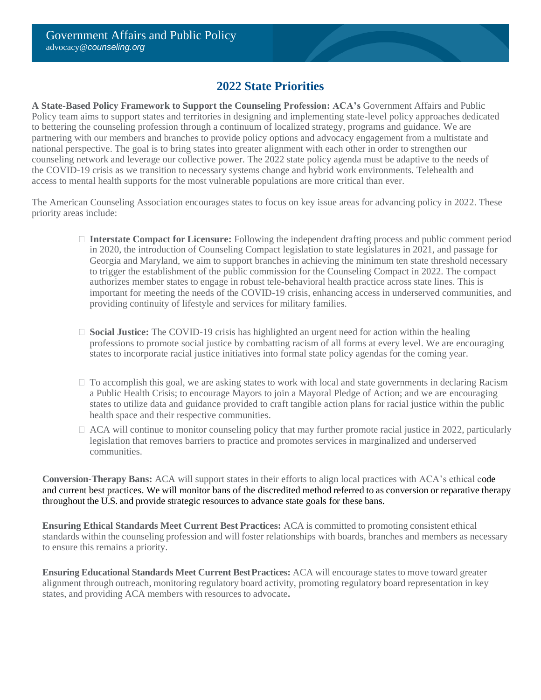## **2022 State Priorities**

**A State-Based Policy Framework to Support the Counseling Profession: ACA's** Government Affairs and Public Policy team aims to support states and territories in designing and implementing state-level policy approaches dedicated to bettering the counseling profession through a continuum of localized strategy, programs and guidance. We are partnering with our members and branches to provide policy options and advocacy engagement from a multistate and national perspective. The goal is to bring states into greater alignment with each other in order to strengthen our counseling network and leverage our collective power. The 2022 state policy agenda must be adaptive to the needs of the COVID-19 crisis as we transition to necessary systems change and hybrid work environments. Telehealth and access to mental health supports for the most vulnerable populations are more critical than ever.

The American Counseling Association encourages states to focus on key issue areas for advancing policy in 2022. These priority areas include:

- **Interstate Compact for Licensure:** Following the independent drafting process and public comment period in 2020, the introduction of Counseling Compact legislation to state legislatures in 2021, and passage for Georgia and Maryland, we aim to support branches in achieving the minimum ten state threshold necessary to trigger the establishment of the public commission for the Counseling Compact in 2022. The compact authorizes member states to engage in robust tele-behavioral health practice across state lines. This is important for meeting the needs of the COVID-19 crisis, enhancing access in underserved communities, and providing continuity of lifestyle and services for military families.
- **Social Justice:** The COVID-19 crisis has highlighted an urgent need for action within the healing professions to promote social justice by combatting racism of all forms at every level. We are encouraging states to incorporate racial justice initiatives into formal state policy agendas for the coming year.
- $\Box$  To accomplish this goal, we are asking states to work with local and state governments in declaring Racism a Public Health Crisis; to encourage Mayors to join a Mayoral Pledge of Action; and we are encouraging states to utilize data and guidance provided to craft tangible action plans for racial justice within the public health space and their respective communities.
- $\Box$  ACA will continue to monitor counseling policy that may further promote racial justice in 2022, particularly legislation that removes barriers to practice and promotes services in marginalized and underserved communities.

**Conversion-Therapy Bans:** ACA will support states in their efforts to align local practices with ACA's ethical code and current best practices. We will monitor bans of the discredited method referred to as conversion or reparative therapy throughout the U.S. and provide strategic resources to advance state goals for these bans.

**Ensuring Ethical Standards Meet Current Best Practices:** ACA is committed to promoting consistent ethical standards within the counseling profession and will foster relationships with boards, branches and members as necessary to ensure this remains a priority.

**Ensuring Educational Standards Meet Current BestPractices:** ACA will encourage states to move toward greater alignment through outreach, monitoring regulatory board activity, promoting regulatory board representation in key states, and providing ACA members with resources to advocate**.**